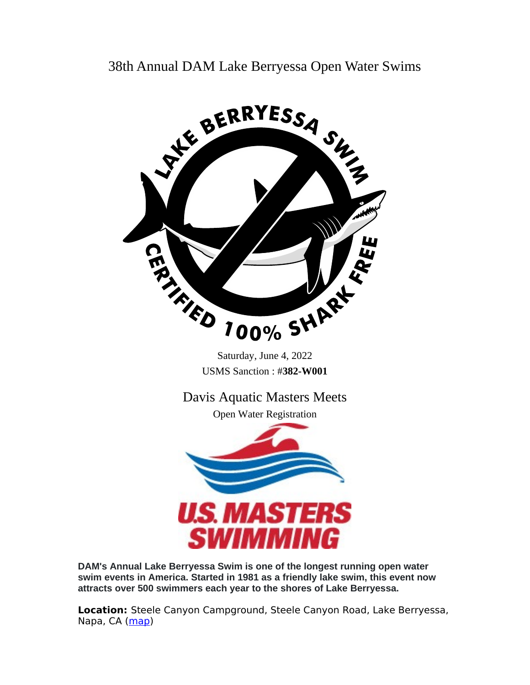38th Annual DAM Lake Berryessa Open Water Swims



**DAM's Annual Lake Berryessa Swim is one of the longest running open water swim events in America. Started in 1981 as a friendly lake swim, this event now attracts over 500 swimmers each year to the shores of Lake Berryessa.**

**Location:** Steele Canyon Campground, Steele Canyon Road, Lake Berryessa, Napa, CA ([map](https://goo.gl/maps/wF9zU6Ebahr))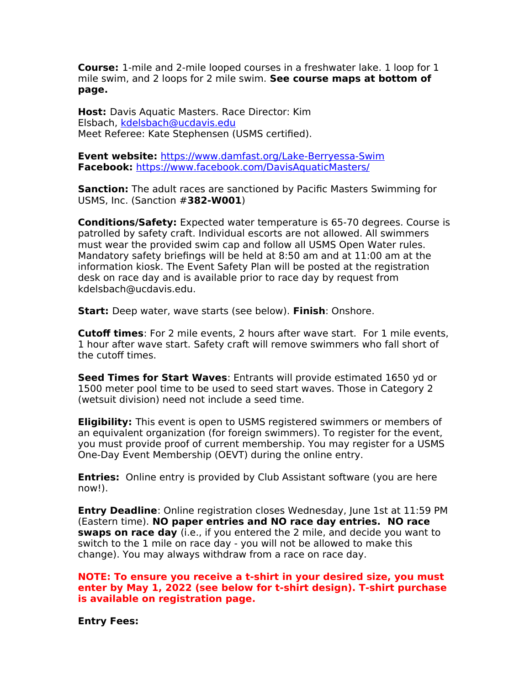**Course:** 1-mile and 2-mile looped courses in a freshwater lake. 1 loop for 1 mile swim, and 2 loops for 2 mile swim. **See course maps at bottom of page.**

**Host:** Davis Aquatic Masters. Race Director: Kim Elsbach, [kdelsbach@ucdavis.edu](mailto:kdelsbach@ucdavis.edu) Meet Referee: Kate Stephensen (USMS certified).

**Event website:** <https://www.damfast.org/Lake-Berryessa-Swim> **Facebook:** <https://www.facebook.com/DavisAquaticMasters/>

**Sanction:** The adult races are sanctioned by Pacific Masters Swimming for USMS, Inc. (Sanction #**382-W001**)

**Conditions/Safety:** Expected water temperature is 65-70 degrees. Course is patrolled by safety craft. Individual escorts are not allowed. All swimmers must wear the provided swim cap and follow all USMS Open Water rules. Mandatory safety briefings will be held at 8:50 am and at 11:00 am at the information kiosk. The Event Safety Plan will be posted at the registration desk on race day and is available prior to race day by request from kdelsbach@ucdavis.edu.

**Start:** Deep water, wave starts (see below). **Finish**: Onshore.

**Cutoff times**: For 2 mile events, 2 hours after wave start. For 1 mile events, 1 hour after wave start. Safety craft will remove swimmers who fall short of the cutoff times.

**Seed Times for Start Waves**: Entrants will provide estimated 1650 yd or 1500 meter pool time to be used to seed start waves. Those in Category 2 (wetsuit division) need not include a seed time.

**Eligibility:** This event is open to USMS registered swimmers or members of an equivalent organization (for foreign swimmers). To register for the event, you must provide proof of current membership. You may register for a USMS One-Day Event Membership (OEVT) during the online entry.

**Entries:** Online entry is provided by Club Assistant software (you are here now!).

**Entry Deadline**: Online registration closes Wednesday, June 1st at 11:59 PM (Eastern time). **NO paper entries and NO race day entries. NO race swaps on race day** (i.e., if you entered the 2 mile, and decide you want to switch to the 1 mile on race day - you will not be allowed to make this change). You may always withdraw from a race on race day.

**NOTE: To ensure you receive a t-shirt in your desired size, you must enter by May 1, 2022 (see below for t-shirt design). T-shirt purchase is available on registration page.**

**Entry Fees:**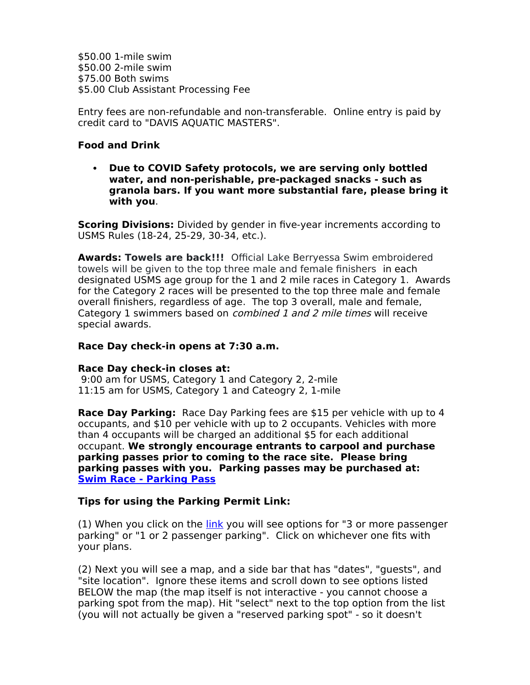\$50.00 1-mile swim \$50.00 2-mile swim \$75.00 Both swims \$5.00 Club Assistant Processing Fee

Entry fees are non-refundable and non-transferable. Online entry is paid by credit card to "DAVIS AQUATIC MASTERS".

# **Food and Drink**

 **Due to COVID Safety protocols, we are serving only bottled water, and non-perishable, pre-packaged snacks - such as granola bars. If you want more substantial fare, please bring it with you**.

**Scoring Divisions:** Divided by gender in five-year increments according to USMS Rules (18-24, 25-29, 30-34, etc.).

**Awards: Towels are back!!!** Official Lake Berryessa Swim embroidered towels will be given to the top three male and female finishers in each designated USMS age group for the 1 and 2 mile races in Category 1. Awards for the Category 2 races will be presented to the top three male and female overall finishers, regardless of age. The top 3 overall, male and female, Category 1 swimmers based on *combined 1 and 2 mile times* will receive special awards.

## **Race Day check-in opens at 7:30 a.m.**

#### **Race Day check-in closes at:**

9:00 am for USMS, Category 1 and Category 2, 2-mile 11:15 am for USMS, Category 1 and Cateogry 2, 1-mile

**Race Day Parking:** Race Day Parking fees are \$15 per vehicle with up to 4 occupants, and \$10 per vehicle with up to 2 occupants. Vehicles with more than 4 occupants will be charged an additional \$5 for each additional occupant. **We strongly encourage entrants to carpool and purchase parking passes prior to coming to the race site. Please bring parking passes with you. Parking passes may be purchased at: [Swim Race - Parking Pass](https://www.campspot.com/book/Steele-Canyon/search/2022-06-04/2022-06-05/guests0,1,0/list?campsiteCategory=Other)**

## **Tips for using the Parking Permit Link:**

(1) When you click on the [link](https://www.campspot.com/book/Steele-Canyon/search/2022-06-04/2022-06-05/guests0,1,0/list?campsiteCategory=Other) you will see options for "3 or more passenger parking" or "1 or 2 passenger parking". Click on whichever one fits with your plans.

(2) Next you will see a map, and a side bar that has "dates", "guests", and "site location". Ignore these items and scroll down to see options listed BELOW the map (the map itself is not interactive - you cannot choose a parking spot from the map). Hit "select" next to the top option from the list (you will not actually be given a "reserved parking spot" - so it doesn't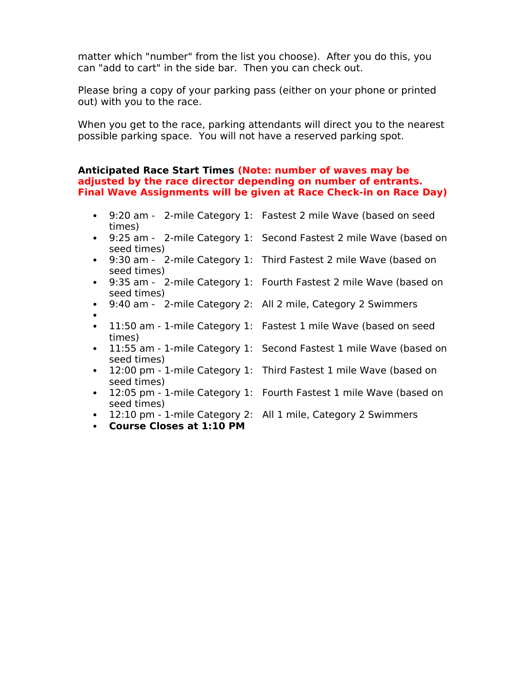matter which "number" from the list you choose). After you do this, you can "add to cart" in the side bar. Then you can check out.

Please bring a copy of your parking pass (either on your phone or printed out) with you to the race.

When you get to the race, parking attendants will direct you to the nearest possible parking space. You will not have a reserved parking spot.

### **Anticipated Race Start Times (Note: number of waves may be adjusted by the race director depending on number of entrants. Final Wave Assignments will be given at Race Check-in on Race Day)**

- 9:20 am 2-mile Category 1: Fastest 2 mile Wave (based on seed times)
- 9:25 am 2-mile Category 1: Second Fastest 2 mile Wave (based on seed times)
- seed times)
- seed times)
- 9:40 am 2-mile Category 2: All 2 mile, Category 2 Swimmers
- $\bullet$ times)
- seed times)
- seed times)
- seed times)
- 
- **Course Closes at 1:10 PM**
- 
- 9:30 am 2-mile Category 1: Third Fastest 2 mile Wave (based on
- 9:35 am 2-mile Category 1: Fourth Fastest 2 mile Wave (based on
	-
- 11:50 am 1-mile Category 1: Fastest 1 mile Wave (based on seed
- 11:55 am 1-mile Category 1: Second Fastest 1 mile Wave (based on
- 12:00 pm 1-mile Category 1: Third Fastest 1 mile Wave (based on
- 12:05 pm 1-mile Category 1: Fourth Fastest 1 mile Wave (based on
- 12:10 pm 1-mile Category 2: All 1 mile, Category 2 Swimmers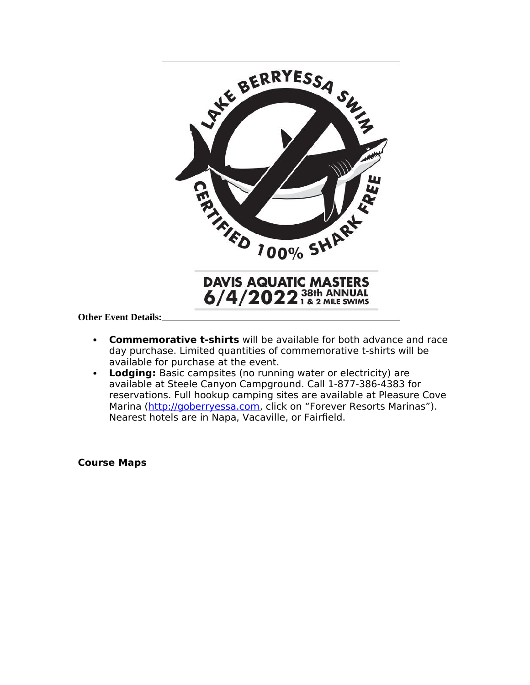

**Other Event Details:**

- **Commemorative t-shirts** will be available for both advance and race day purchase. Limited quantities of commemorative t-shirts will be available for purchase at the event.
- **Lodging:** Basic campsites (no running water or electricity) are available at Steele Canyon Campground. Call 1-877-386-4383 for reservations. Full hookup camping sites are available at Pleasure Cove Marina [\(http://goberryessa.com](http://goberryessa.com/), click on "Forever Resorts Marinas"). Nearest hotels are in Napa, Vacaville, or Fairfield.

**Course Maps**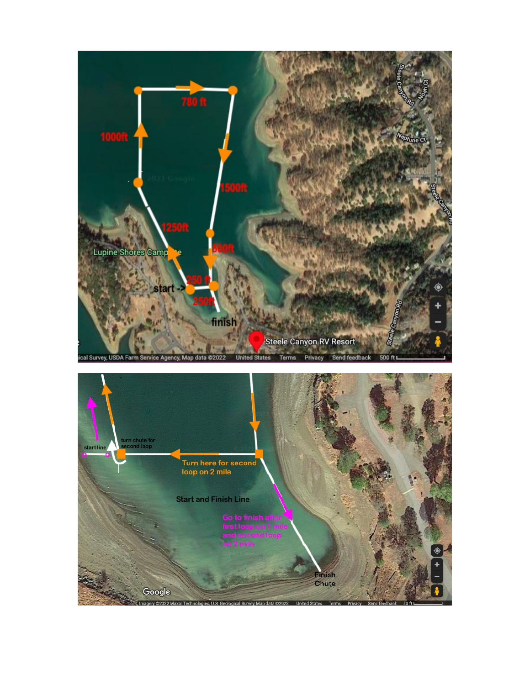